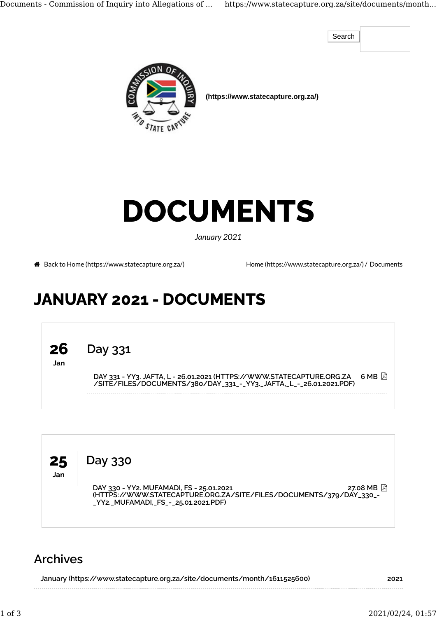Documents - Commission of Inquiry into Allegations of ... https://www.statecapture.org.za/site/documents/month...

Search



 **(https://www.statecapture.org.za/)**

## DOCUMENTS

January 2021

Back to Home (https://www.statecapture.org.za/) Home (https://www.statecapture.org.za/)/ Documents

## JANUARY 2021 - DOCUMENTS





## Archives

| January (https://www.statecapture.org.za/site/documents/month/1611525600) | 2021 |
|---------------------------------------------------------------------------|------|
|                                                                           |      |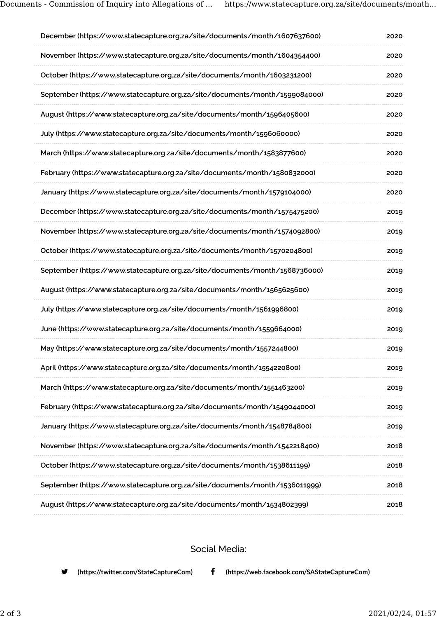| December (https://www.statecapture.org.za/site/documents/month/1607637600)  | 2020 |
|-----------------------------------------------------------------------------|------|
| November (https://www.statecapture.org.za/site/documents/month/1604354400)  | 2020 |
| October (https://www.statecapture.org.za/site/documents/month/1603231200)   | 2020 |
| September (https://www.statecapture.org.za/site/documents/month/1599084000) | 2020 |
| August (https://www.statecapture.org.za/site/documents/month/1596405600)    | 2020 |
| July (https://www.statecapture.org.za/site/documents/month/1596060000)      | 2020 |
| March (https://www.statecapture.org.za/site/documents/month/1583877600)     | 2020 |
| February (https://www.statecapture.org.za/site/documents/month/1580832000)  | 2020 |
| January (https://www.statecapture.org.za/site/documents/month/1579104000)   | 2020 |
| December (https://www.statecapture.org.za/site/documents/month/1575475200)  | 2019 |
| November (https://www.statecapture.org.za/site/documents/month/1574092800)  | 2019 |
| October (https://www.statecapture.org.za/site/documents/month/1570204800)   | 2019 |
| September (https://www.statecapture.org.za/site/documents/month/1568736000) | 2019 |
| August (https://www.statecapture.org.za/site/documents/month/1565625600)    | 2019 |
| July (https://www.statecapture.org.za/site/documents/month/1561996800)      | 2019 |
| June (https://www.statecapture.org.za/site/documents/month/1559664000)      | 2019 |
| May (https://www.statecapture.org.za/site/documents/month/1557244800)       | 2019 |
| April (https://www.statecapture.org.za/site/documents/month/1554220800)     | 2019 |
| March (https://www.statecapture.org.za/site/documents/month/1551463200)     | 2019 |
| February (https://www.statecapture.org.za/site/documents/month/1549044000)  | 2019 |
| January (https://www.statecapture.org.za/site/documents/month/1548784800)   | 2019 |
| November (https://www.statecapture.org.za/site/documents/month/1542218400)  | 2018 |
| October (https://www.statecapture.org.za/site/documents/month/1538611199)   | 2018 |
| September (https://www.statecapture.org.za/site/documents/month/1536011999) | 2018 |
| August (https://www.statecapture.org.za/site/documents/month/1534802399)    | 2018 |
|                                                                             |      |

Social Media:

(https://twitter.com/StateCaptureCom) (https://web.facebook.com/SAStateCaptureCom)